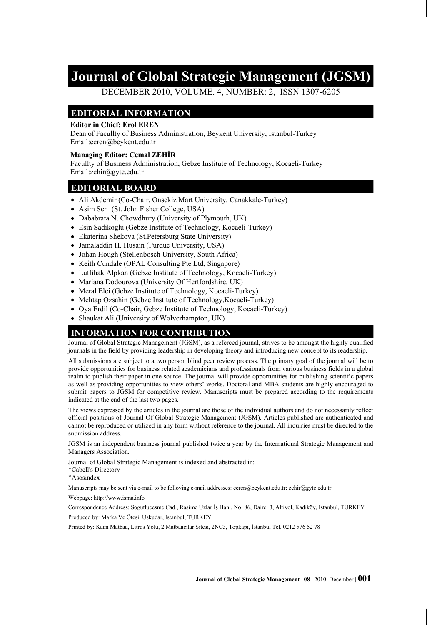# **Journal of Global Strategic Management (JGSM)**

DECEMBER 2010, VOLUME. 4, NUMBER: 2, ISSN 1307-6205

#### **EDITORIAL INFORMATION**

#### **Editor in Chief: Erol EREN**

Dean of Facullty of Business Administration, Beykent University, Istanbul-Turkey Email:eeren@beykent.edu.tr

#### **Managing Editor: Cemal ZEHİR**

Facullty of Business Administration, Gebze Institute of Technology, Kocaeli-Turkey Email:zehir@gyte.edu.tr

#### **EDITORIAL BOARD**

- Ali Akdemir (Co-Chair, Onsekiz Mart University, Canakkale-Turkey)
- Asim Sen (St. John Fisher College, USA)
- Dababrata N. Chowdhury (University of Plymouth, UK)
- Esin Sadikoglu (Gebze Institute of Technology, Kocaeli-Turkey)
- Ekaterina Shekova (St.Petersburg State University)
- Jamaladdin H. Husain (Purdue University, USA)
- Johan Hough (Stellenbosch University, South Africa)
- Keith Cundale (OPAL Consulting Pte Ltd, Singapore)
- Lutfihak Alpkan (Gebze Institute of Technology, Kocaeli-Turkey)
- Mariana Dodourova (University Of Hertfordshire, UK)
- Meral Elci (Gebze Institute of Technology, Kocaeli-Turkey)
- Mehtap Ozsahin (Gebze Institute of Technology, Kocaeli-Turkey)
- Oya Erdil (Co-Chair, Gebze Institute of Technology, Kocaeli-Turkey)
- Shaukat Ali (University of Wolverhampton, UK)

#### **INFORMATION FOR CONTRIBUTION**

Journal of Global Strategic Management (JGSM), as a refereed journal, strives to be amongst the highly qualified journals in the field by providing leadership in developing theory and introducing new concept to its readership.

All submissions are subject to a two person blind peer review process. The primary goal of the journal will be to provide opportunities for business related academicians and professionals from various business fields in a global realm to publish their paper in one source. The journal will provide opportunities for publishing scientific papers as well as providing opportunities to view others' works. Doctoral and MBA students are highly encouraged to submit papers to JGSM for competitive review. Manuscripts must be prepared according to the requirements indicated at the end of the last two pages.

The views expressed by the articles in the journal are those of the individual authors and do not necessarily reflect official positions of Journal Of Global Strategic Management (JGSM). Articles published are authenticated and cannot be reproduced or utilized in any form without reference to the journal. All inquiries must be directed to the submission address.

JGSM is an independent business journal published twice a year by the International Strategic Management and Managers Association.

Journal of Global Strategic Management is indexed and abstracted in:

\*Cabell's Directory

\*Asosindex

Manuscripts may be sent via e-mail to be folloving e-mail addresses: eeren@beykent.edu.tr; zehir@gyte.edu.tr

Webpage: http://www.isma.info

Correspondence Address: Sogutlucesme Cad., Rasime Uzlar İş Hani, No: 86, Daire: 3, Altiyol, Kadiköy, Istanbul, TURKEY

Produced by: Marka Ve Ötesi, Uskudar, Istanbul, TURKEY

Printed by: Kaan Matbaa, Litros Yolu, 2.Matbaacılar Sitesi, 2NC3, Topkapı, İstanbul Tel. 0212 576 52 78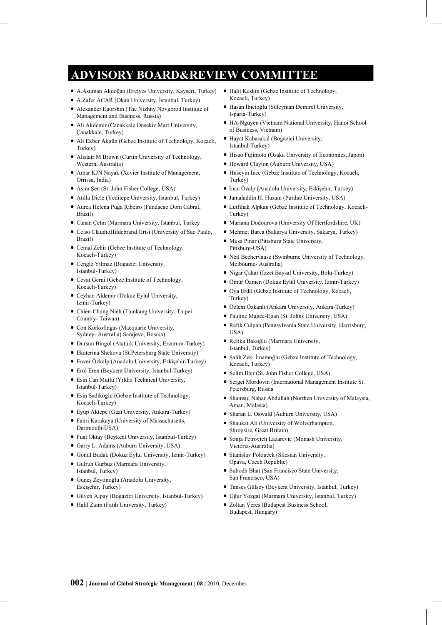# **ADVISORY BOARD&REVIEW COMMITTEE**

- A.Asuman Akdoğan (Erciyes University, Kayseri, Turkey)
- A.Zafer ACAR (Okan University, İstanbul, Turkey)
- Alexander Egorshin (The Nizhny Novgorod Institute of Management and Business, Russia)
- Ali Akdemir (Canakkale Onsekiz Mart University, Çanakkale, Turkey)
- Ali Ekber Akgün (Gebze Institute of Technology, Kocaeli, Turkey)
- Alistair M Brown (Curtin University of Technology, Western, Australia)
- Amar KJN Nayak (Xavier Institute of Management, Orrissa, India)
- Asım Şen (St. John Fisher College, USA)
- Atilla Dicle (Yeditepe University, Istanbul, Turkey)
- Aurea Helena Puga Ribeiro (Fundacao Dom Cabral, Brazil)
- Canan Çetin (Marmara University, Istanbul, Turkey
- Celso ClaudioHildebrand Grisi (University of Sao Paulo, Brazil)
- Cemal Zehir (Gebze Institute of Technology, Kocaeli-Turkey)
- Cengiz Yılmaz (Bogazici University, Istanbul-Turkey)
- Cevat Gerni (Gebze Institute of Technology, Kocaeli-Turkey)
- Ceyhan Aldemir (Dokuz Eylül University, Izmir-Turkey)
- Chien-Chung Nieh (Tamkang University, Taipei Country- Taiwan)
- Con Korkofingas (Macquarie University, Sydney- Australia) Sarajevo, Bosnia)
- Dursun Bingöl (Atatürk University, Erzurum-Turkey)
- Ekaterina Shekova (St.Petersburg State University)
- Enver Özkalp (Anadolu University, Eskişehir-Turkey)
- Erol Eren (Beykent University, Istanbul-Turkey)
- Esin Can Mutlu (Yıldız Technical University, Istanbul-Turkey)
- Esin Sadıkoğlu (Gebze Institute of Technology, Kocaeli-Turkey)
- Eyüp Aktepe (Gazi University, Ankara-Turkey)
- Fahri Karakaya (University of Massachusetts, Dartmouth-USA)
- Fuat Oktay (Beykent University, Istanbul-Turkey)
- Garry L. Adams (Auburn University, USA)
- Gönül Budak (Dokuz Eylul University, İzmir-Turkey)
- Gulruh Gurbuz (Marmara University, Istanbul, Turkey)
- Güneş Zeytinoğlu (Anadolu University, Eskişehir, Turkey)
- Güven Alpay (Bogazici University, Istanbul-Turkey)
- Halil Zaim (Fatih University, Turkey)
- Halit Keskin (Gebze Institute of Technology, Kocaeli, Turkey)
- Hasan İbicioğlu (Süleyman Demirel University, Isparta-Turkey)
- HA-Nguyen (Vietnam National University, Hanoi School of Business, Vietnam)
- Hayat Kabasakal (Bogazici University, Istanbul-Turkey)
- Hisao Fujimoto (Osaka University of Economics, Japon)
- Howard Clayton (Auburn University, USA)
- Hüseyin İnce (Gebze Institute of Technology, Kocaeli, Turkey)
- İnan Özalp (Anadolu University, Eskişehir, Turkey)
- Jamaladdin H. Husain (Purdue University, USA)
- Lutfihak Alpkan (Gebze Institute of Technology, Kocaeli-Turkey)
- $\bullet$  Mariana Dodourova (University Of Hertfordshire, UK)
- Mehmet Barca (Sakarya University, Sakarya, Turkey)
- Musa Pınar (Pittsburg State University, Pittsburg-USA)
- Neil Bechervause (Swinburne University of Technology, Melbourne- Australia)
- Nigar Cakar (Izzet Baysal University, Bolu-Turkey)
- Ömür Özmen (Dokuz Eylül University, İzmir-Turkey)
- $\bullet$  Oya Erdil (Gebze Institute of Technology, Kocaeli, Turkey)
- Özlem Özkanlı (Ankara University, Ankara-Turkey)
- Pauline Magee-Egan (St. Johns University, USA)
- Refik Culpan (Pennsylvania State University, Harrisburg, USA)
- Refika Bakoğlu (Marmara University, Istanbul, Turkey)
- Salih Zeki İmamoğlu (Gebze Institute of Technology, Kocaeli, Turkey)
- Selim Ilter (St. John Fisher College, USA)
- Sergei Mordovin (International Management Institute St. Petersburg, Russia
- Shamsul Nahar Abdullah (Northen University of Malaysia, Aman, Malasia)
- Sharan L. Oswald (Auburn University, USA)
- Shaukat Ali (University of Wolverhampton, Shropsire, Great Britain)
- Sonja Petrovich Lazarevic (Monash University, Victoria-Australia)
- Stanislav Poloucek (Silesian University, Opava, Czech Republic)
- Subodh Bhat (San Francisco State University, San Francisco, USA)
- Tanses Gülsoy (Beykent University, İstanbul, Turkey)
- Uğur Yozgat (Marmara University, İstanbul, Turkey)
- Zoltan Veres (Budapest Business School, Budapest, Hungary)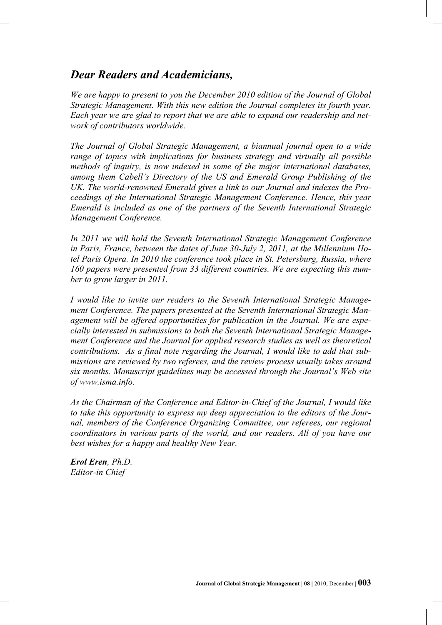## *Dear Readers and Academicians,*

*We are happy to present to you the December 2010 edition of the Journal of Global Strategic Management. With this new edition the Journal completes its fourth year. Each year we are glad to report that we are able to expand our readership and network of contributors worldwide.* 

*The Journal of Global Strategic Management, a biannual journal open to a wide range of topics with implications for business strategy and virtually all possible methods of inquiry, is now indexed in some of the major international databases, among them Cabell's Directory of the US and Emerald Group Publishing of the UK. The world-renowned Emerald gives a link to our Journal and indexes the Proceedings of the International Strategic Management Conference. Hence, this year Emerald is included as one of the partners of the Seventh International Strategic Management Conference.* 

*In 2011 we will hold the Seventh International Strategic Management Conference in Paris, France, between the dates of June 30-July 2, 2011, at the Millennium Hotel Paris Opera. In 2010 the conference took place in St. Petersburg, Russia, where 160 papers were presented from 33 different countries. We are expecting this number to grow larger in 2011.* 

*I would like to invite our readers to the Seventh International Strategic Management Conference. The papers presented at the Seventh International Strategic Management will be offered opportunities for publication in the Journal. We are especially interested in submissions to both the Seventh International Strategic Management Conference and the Journal for applied research studies as well as theoretical contributions. As a final note regarding the Journal, I would like to add that submissions are reviewed by two referees, and the review process usually takes around six months. Manuscript guidelines may be accessed through the Journal's Web site of [www.isma.info.](http://www.isma.info/)* 

*As the Chairman of the Conference and Editor-in-Chief of the Journal, I would like to take this opportunity to express my deep appreciation to the editors of the Journal, members of the Conference Organizing Committee, our referees, our regional coordinators in various parts of the world, and our readers. All of you have our best wishes for a happy and healthy New Year.* 

*Erol Eren, Ph.D. Editor-in Chief*